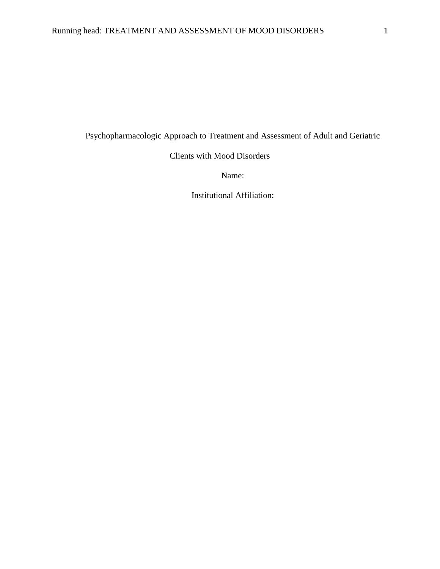Psychopharmacologic Approach to Treatment and Assessment of Adult and Geriatric

Clients with Mood Disorders

Name:

Institutional Affiliation: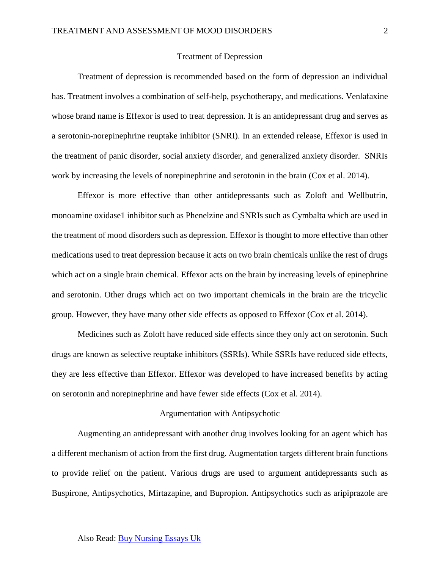#### Treatment of Depression

Treatment of depression is recommended based on the form of depression an individual has. Treatment involves a combination of self-help, psychotherapy, and medications. Venlafaxine whose brand name is Effexor is used to treat depression. It is an antidepressant drug and serves as a serotonin-norepinephrine reuptake inhibitor (SNRI). In an extended release, Effexor is used in the treatment of panic disorder, social anxiety disorder, and generalized anxiety disorder. SNRIs work by increasing the levels of norepinephrine and serotonin in the brain (Cox et al. 2014).

 Effexor is more effective than other antidepressants such as Zoloft and Wellbutrin, monoamine oxidase1 inhibitor such as Phenelzine and SNRIs such as Cymbalta which are used in the treatment of mood disorders such as depression. Effexor is thought to more effective than other medications used to treat depression because it acts on two brain chemicals unlike the rest of drugs which act on a single brain chemical. Effexor acts on the brain by increasing levels of epinephrine and serotonin. Other drugs which act on two important chemicals in the brain are the tricyclic group. However, they have many other side effects as opposed to Effexor (Cox et al. 2014).

 Medicines such as Zoloft have reduced side effects since they only act on serotonin. Such drugs are known as selective reuptake inhibitors (SSRIs). While SSRIs have reduced side effects, they are less effective than Effexor. Effexor was developed to have increased benefits by acting on serotonin and norepinephrine and have fewer side effects (Cox et al. 2014).

#### Argumentation with Antipsychotic

Augmenting an antidepressant with another drug involves looking for an agent which has a different mechanism of action from the first drug. Augmentation targets different brain functions to provide relief on the patient. Various drugs are used to argument antidepressants such as Buspirone, Antipsychotics, Mirtazapine, and Bupropion. Antipsychotics such as aripiprazole are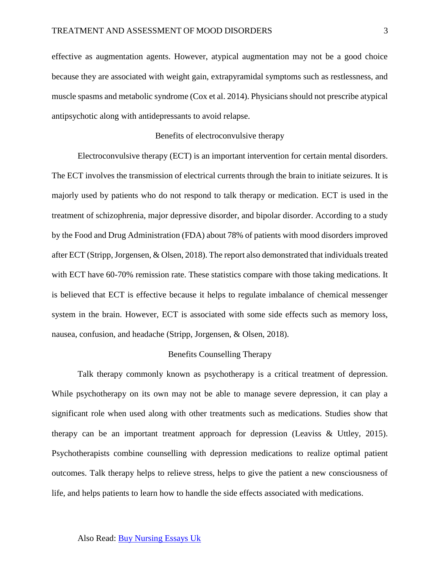effective as augmentation agents. However, atypical augmentation may not be a good choice because they are associated with weight gain, extrapyramidal symptoms such as restlessness, and muscle spasms and metabolic syndrome (Cox et al. 2014). Physicians should not prescribe atypical antipsychotic along with antidepressants to avoid relapse.

# Benefits of electroconvulsive therapy

Electroconvulsive therapy (ECT) is an important intervention for certain mental disorders. The ECT involves the transmission of electrical currents through the brain to initiate seizures. It is majorly used by patients who do not respond to talk therapy or medication. ECT is used in the treatment of schizophrenia, major depressive disorder, and bipolar disorder. According to a study by the Food and Drug Administration (FDA) about 78% of patients with mood disorders improved after ECT (Stripp, Jorgensen, & Olsen, 2018). The report also demonstrated that individuals treated with ECT have 60-70% remission rate. These statistics compare with those taking medications. It is believed that ECT is effective because it helps to regulate imbalance of chemical messenger system in the brain. However, ECT is associated with some side effects such as memory loss, nausea, confusion, and headache (Stripp, Jorgensen, & Olsen, 2018).

### Benefits Counselling Therapy

Talk therapy commonly known as psychotherapy is a critical treatment of depression. While psychotherapy on its own may not be able to manage severe depression, it can play a significant role when used along with other treatments such as medications. Studies show that therapy can be an important treatment approach for depression (Leaviss & Uttley, 2015). Psychotherapists combine counselling with depression medications to realize optimal patient outcomes. Talk therapy helps to relieve stress, helps to give the patient a new consciousness of life, and helps patients to learn how to handle the side effects associated with medications.